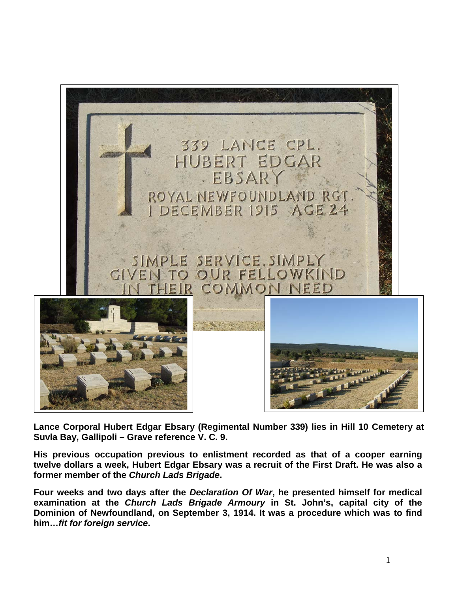

**Lance Corporal Hubert Edgar Ebsary (Regimental Number 339) lies in Hill 10 Cemetery at Suvla Bay, Gallipoli – Grave reference V. C. 9.**

**His previous occupation previous to enlistment recorded as that of a cooper earning twelve dollars a week, Hubert Edgar Ebsary was a recruit of the First Draft. He was also a former member of the** *Church Lads Brigade***.**

**Four weeks and two days after the** *Declaration Of War***, he presented himself for medical examination at the** *Church Lads Brigade Armoury* **in St. John's, capital city of the Dominion of Newfoundland, on September 3, 1914. It was a procedure which was to find him…***fit for foreign service***.**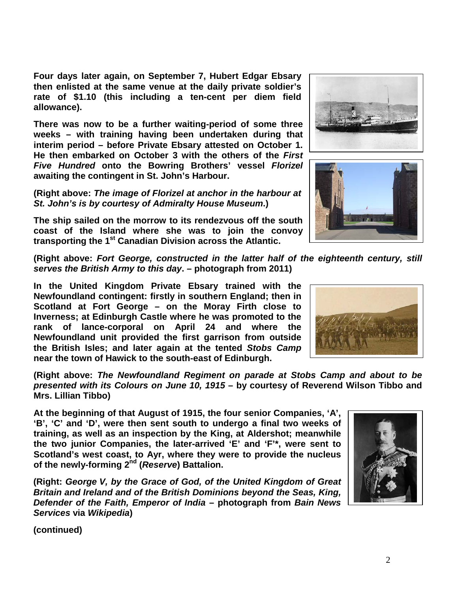**Four days later again, on September 7, Hubert Edgar Ebsary then enlisted at the same venue at the daily private soldier's rate of \$1.10 (this including a ten-cent per diem field allowance).**

**There was now to be a further waiting-period of some three weeks – with training having been undertaken during that interim period – before Private Ebsary attested on October 1. He then embarked on October 3 with the others of the** *First Five Hundred* **onto the Bowring Brothers' vessel** *Florizel* **awaiting the contingent in St. John's Harbour.** 

**(Right above:** *The image of Florizel at anchor in the harbour at St. John's is by courtesy of Admiralty House Museum***.)**

**The ship sailed on the morrow to its rendezvous off the south coast of the Island where she was to join the convoy transporting the 1st Canadian Division across the Atlantic.**

**(Right above:** *Fort George, constructed in the latter half of the eighteenth century, still serves the British Army to this day***. – photograph from 2011)**

**In the United Kingdom Private Ebsary trained with the Newfoundland contingent: firstly in southern England; then in Scotland at Fort George – on the Moray Firth close to Inverness; at Edinburgh Castle where he was promoted to the rank of lance-corporal on April 24 and where the Newfoundland unit provided the first garrison from outside the British Isles; and later again at the tented** *Stobs Camp* **near the town of Hawick to the south-east of Edinburgh.**

**(Right above:** *The Newfoundland Regiment on parade at Stobs Camp and about to be presented with its Colours on June 10, 1915* **– by courtesy of Reverend Wilson Tibbo and Mrs. Lillian Tibbo)**

**At the beginning of that August of 1915, the four senior Companies, 'A', 'B', 'C' and 'D', were then sent south to undergo a final two weeks of training, as well as an inspection by the King, at Aldershot; meanwhile the two junior Companies, the later-arrived 'E' and 'F'\*, were sent to Scotland's west coast, to Ayr, where they were to provide the nucleus of the newly-forming 2nd (***Reserve***) Battalion.**

**(Right:** *George V, by the Grace of God, of the United Kingdom of Great Britain and Ireland and of the British Dominions beyond the Seas, King, Defender of the Faith, Emperor of India* **– photograph from** *Bain News Services* **via** *Wikipedia***)**





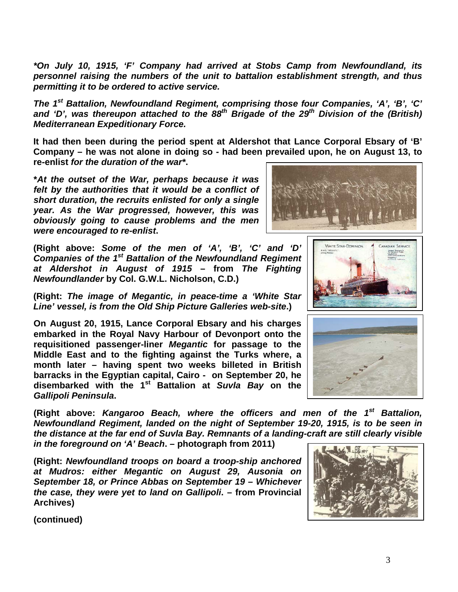*\*On July 10, 1915, 'F' Company had arrived at Stobs Camp from Newfoundland, its personnel raising the numbers of the unit to battalion establishment strength, and thus permitting it to be ordered to active service.*

*The 1st Battalion, Newfoundland Regiment, comprising those four Companies, 'A', 'B', 'C'*  and 'D', was thereupon attached to the 88<sup>th</sup> Brigade of the 29<sup>th</sup> Division of the (British) *Mediterranean Expeditionary Force.*

**It had then been during the period spent at Aldershot that Lance Corporal Ebsary of 'B' Company – he was not alone in doing so - had been prevailed upon, he on August 13, to re-enlist** *for the duration of the war\****.** 

**\****At the outset of the War, perhaps because it was felt by the authorities that it would be a conflict of short duration, the recruits enlisted for only a single year. As the War progressed, however, this was obviously going to cause problems and the men were encouraged to re-enlist***.**

**(Right above:** *Some of the men of 'A', 'B', 'C' and 'D' Companies of the 1st Battalion of the Newfoundland Regiment at Aldershot in August of 1915* **– from** *The Fighting Newfoundlander* **by Col. G.W.L. Nicholson, C.D.)**

**(Right:** *The image of Megantic, in peace-time a 'White Star Line' vessel, is from the Old Ship Picture Galleries web-site***.)**

**On August 20, 1915, Lance Corporal Ebsary and his charges embarked in the Royal Navy Harbour of Devonport onto the requisitioned passenger-liner** *Megantic* **for passage to the Middle East and to the fighting against the Turks where, a month later – having spent two weeks billeted in British barracks in the Egyptian capital, Cairo - on September 20, he disembarked with the 1st Battalion at** *Suvla Bay* **on the**  *Gallipoli Peninsula***.**

**(Right above:** *Kangaroo Beach, where the officers and men of the 1st Battalion, Newfoundland Regiment, landed on the night of September 19-20, 1915, is to be seen in the distance at the far end of Suvla Bay. Remnants of a landing-craft are still clearly visible in the foreground on 'A' Beach***. – photograph from 2011)**

**(Right:** *Newfoundland troops on board a troop-ship anchored at Mudros: either Megantic on August 29, Ausonia on September 18, or Prince Abbas on September 19 – Whichever the case, they were yet to land on Gallipoli***. – from Provincial Archives)**







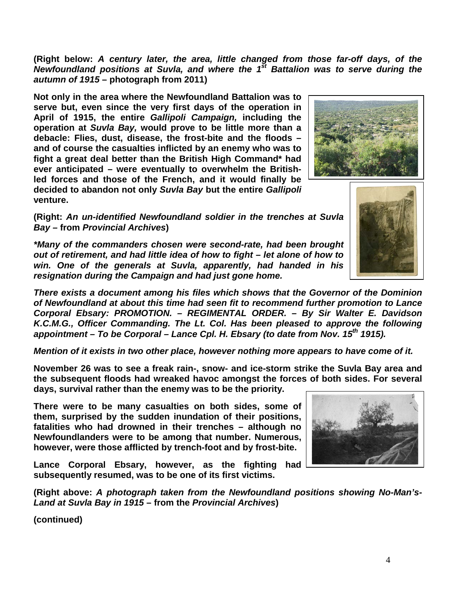**(Right below:** *A century later, the area, little changed from those far-off days, of the Newfoundland positions at Suvla, and where the 1st Battalion was to serve during the autumn of 1915* **– photograph from 2011)**

**Not only in the area where the Newfoundland Battalion was to serve but, even since the very first days of the operation in April of 1915, the entire** *Gallipoli Campaign,* **including the operation at** *Suvla Bay,* **would prove to be little more than a debacle: Flies, dust, disease, the frost-bite and the floods – and of course the casualties inflicted by an enemy who was to fight a great deal better than the British High Command\* had ever anticipated – were eventually to overwhelm the Britishled forces and those of the French, and it would finally be decided to abandon not only** *Suvla Bay* **but the entire** *Gallipoli* **venture.**

**(Right:** *An un-identified Newfoundland soldier in the trenches at Suvla Bay –* **from** *Provincial Archives***)**

*\*Many of the commanders chosen were second-rate, had been brought out of retirement, and had little idea of how to fight – let alone of how to win. One of the generals at Suvla, apparently, had handed in his resignation during the Campaign and had just gone home.*

*There exists a document among his files which shows that the Governor of the Dominion of Newfoundland at about this time had seen fit to recommend further promotion to Lance Corporal Ebsary: PROMOTION. – REGIMENTAL ORDER. – By Sir Walter E. Davidson K.C.M.G., Officer Commanding. The Lt. Col. Has been pleased to approve the following appointment – To be Corporal – Lance Cpl. H. Ebsary (to date from Nov. 15th 1915).*

*Mention of it exists in two other place, however nothing more appears to have come of it.*

**November 26 was to see a freak rain-, snow- and ice-storm strike the Suvla Bay area and the subsequent floods had wreaked havoc amongst the forces of both sides. For several days, survival rather than the enemy was to be the priority.**

**There were to be many casualties on both sides, some of them, surprised by the sudden inundation of their positions, fatalities who had drowned in their trenches – although no Newfoundlanders were to be among that number. Numerous, however, were those afflicted by trench-foot and by frost-bite.**

**Lance Corporal Ebsary, however, as the fighting had subsequently resumed, was to be one of its first victims.**

**(Right above:** *A photograph taken from the Newfoundland positions showing No-Man's-Land at Suvla Bay in 1915* **– from the** *Provincial Archives***)**





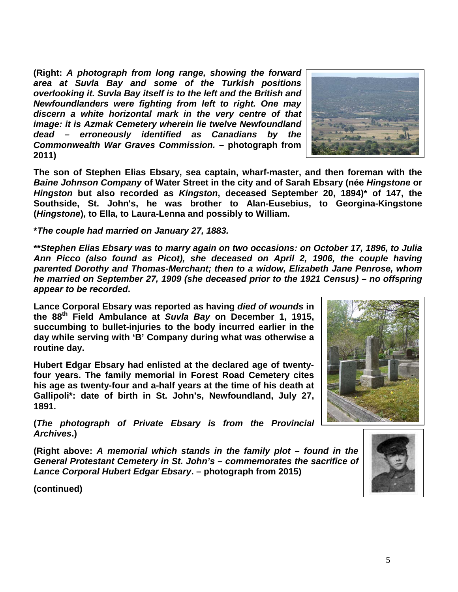**(Right:** *A photograph from long range, showing the forward area at Suvla Bay and some of the Turkish positions overlooking it. Suvla Bay itself is to the left and the British and Newfoundlanders were fighting from left to right. One may discern a white horizontal mark in the very centre of that image: it is Azmak Cemetery wherein lie twelve Newfoundland dead – erroneously identified as Canadians by the Commonwealth War Graves Commission.* **– photograph from 2011)**



**The son of Stephen Elias Ebsary, sea captain, wharf-master, and then foreman with the**  *Baine Johnson Company* **of Water Street in the city and of Sarah Ebsary (née** *Hingstone* **or**  *Hingston* **but also recorded as** *Kingston***, deceased September 20, 1894)\* of 147, the Southside, St. John's, he was brother to Alan-Eusebius, to Georgina-Kingstone (***Hingstone***), to Ella, to Laura-Lenna and possibly to William.**

**\****The couple had married on January 27, 1883.*

**\*\****Stephen Elias Ebsary was to marry again on two occasions: on October 17, 1896, to Julia Ann Picco (also found as Picot), she deceased on April 2, 1906, the couple having parented Dorothy and Thomas-Merchant; then to a widow, Elizabeth Jane Penrose, whom he married on September 27, 1909 (she deceased prior to the 1921 Census) – no offspring appear to be recorded***.** 

**Lance Corporal Ebsary was reported as having** *died of wounds* **in the 88th Field Ambulance at** *Suvla Bay* **on December 1, 1915, succumbing to bullet-injuries to the body incurred earlier in the day while serving with 'B' Company during what was otherwise a routine day.** 

**Hubert Edgar Ebsary had enlisted at the declared age of twentyfour years. The family memorial in Forest Road Cemetery cites his age as twenty-four and a-half years at the time of his death at Gallipoli\*: date of birth in St. John's, Newfoundland, July 27, 1891.**



**(***The photograph of Private Ebsary is from the Provincial Archives***.)**

**(Right above:** *A memorial which stands in the family plot – found in the General Protestant Cemetery in St. John's – commemorates the sacrifice of Lance Corporal Hubert Edgar Ebsary***. – photograph from 2015)**